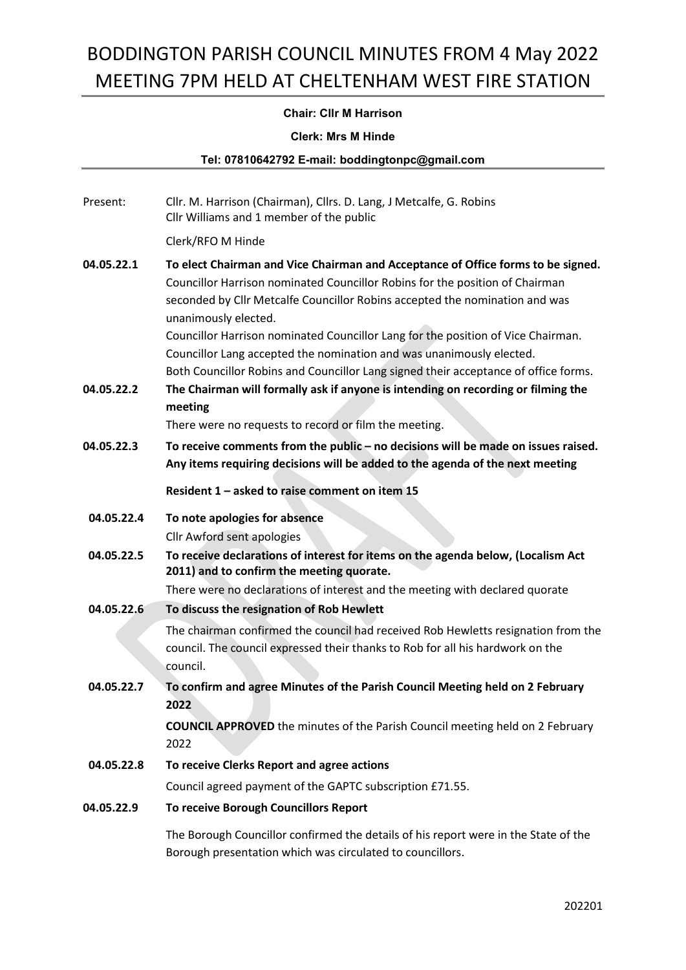## Chair: Cllr M Harrison

#### Clerk: Mrs M Hinde

Tel: 07810642792 E-mail: boddingtonpc@gmail.com

| Present:   | Cllr. M. Harrison (Chairman), Cllrs. D. Lang, J Metcalfe, G. Robins<br>Cllr Williams and 1 member of the public                                                                                                                                                                                                                                                                                                                                                                                                            |  |
|------------|----------------------------------------------------------------------------------------------------------------------------------------------------------------------------------------------------------------------------------------------------------------------------------------------------------------------------------------------------------------------------------------------------------------------------------------------------------------------------------------------------------------------------|--|
|            | Clerk/RFO M Hinde                                                                                                                                                                                                                                                                                                                                                                                                                                                                                                          |  |
| 04.05.22.1 | To elect Chairman and Vice Chairman and Acceptance of Office forms to be signed.<br>Councillor Harrison nominated Councillor Robins for the position of Chairman<br>seconded by Cllr Metcalfe Councillor Robins accepted the nomination and was<br>unanimously elected.<br>Councillor Harrison nominated Councillor Lang for the position of Vice Chairman.<br>Councillor Lang accepted the nomination and was unanimously elected.<br>Both Councillor Robins and Councillor Lang signed their acceptance of office forms. |  |
| 04.05.22.2 | The Chairman will formally ask if anyone is intending on recording or filming the<br>meeting                                                                                                                                                                                                                                                                                                                                                                                                                               |  |
|            | There were no requests to record or film the meeting.                                                                                                                                                                                                                                                                                                                                                                                                                                                                      |  |
| 04.05.22.3 | To receive comments from the public - no decisions will be made on issues raised.<br>Any items requiring decisions will be added to the agenda of the next meeting                                                                                                                                                                                                                                                                                                                                                         |  |
|            | Resident 1 - asked to raise comment on item 15                                                                                                                                                                                                                                                                                                                                                                                                                                                                             |  |
| 04.05.22.4 | To note apologies for absence                                                                                                                                                                                                                                                                                                                                                                                                                                                                                              |  |
|            | Cllr Awford sent apologies                                                                                                                                                                                                                                                                                                                                                                                                                                                                                                 |  |
| 04.05.22.5 | To receive declarations of interest for items on the agenda below, (Localism Act<br>2011) and to confirm the meeting quorate.                                                                                                                                                                                                                                                                                                                                                                                              |  |
|            | There were no declarations of interest and the meeting with declared quorate                                                                                                                                                                                                                                                                                                                                                                                                                                               |  |
| 04.05.22.6 | To discuss the resignation of Rob Hewlett                                                                                                                                                                                                                                                                                                                                                                                                                                                                                  |  |
|            | The chairman confirmed the council had received Rob Hewletts resignation from the<br>council. The council expressed their thanks to Rob for all his hardwork on the<br>council.                                                                                                                                                                                                                                                                                                                                            |  |
| 04.05.22.7 | To confirm and agree Minutes of the Parish Council Meeting held on 2 February<br>2022                                                                                                                                                                                                                                                                                                                                                                                                                                      |  |
|            | <b>COUNCIL APPROVED</b> the minutes of the Parish Council meeting held on 2 February<br>2022                                                                                                                                                                                                                                                                                                                                                                                                                               |  |
| 04.05.22.8 | To receive Clerks Report and agree actions                                                                                                                                                                                                                                                                                                                                                                                                                                                                                 |  |
|            | Council agreed payment of the GAPTC subscription £71.55.                                                                                                                                                                                                                                                                                                                                                                                                                                                                   |  |
| 04.05.22.9 | To receive Borough Councillors Report                                                                                                                                                                                                                                                                                                                                                                                                                                                                                      |  |
|            | The Borough Councillor confirmed the details of his report were in the State of the<br>Borough presentation which was circulated to councillors.                                                                                                                                                                                                                                                                                                                                                                           |  |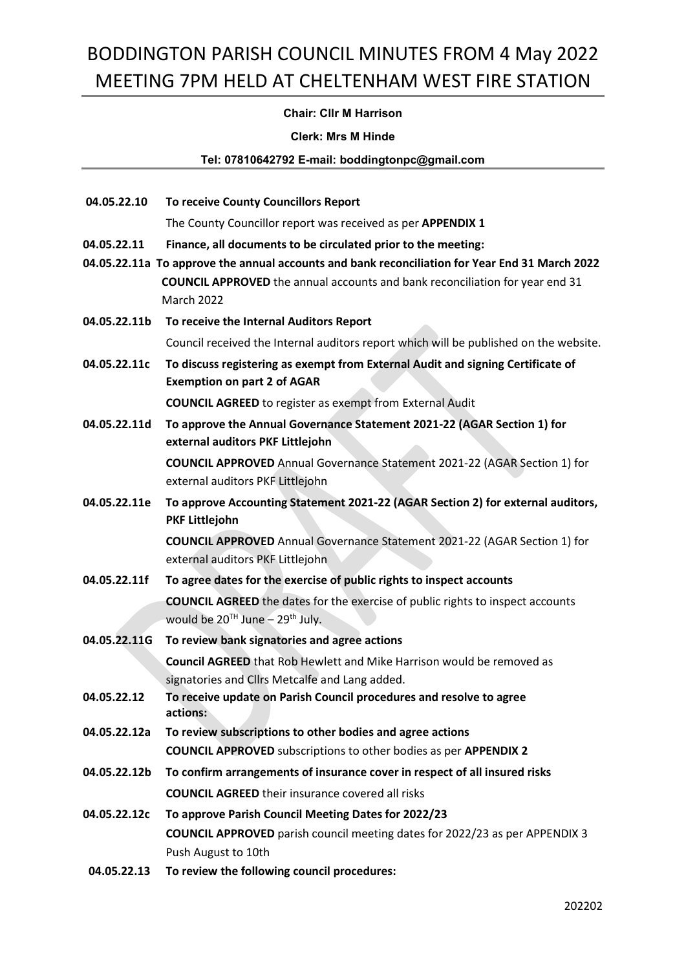### Chair: Cllr M Harrison

#### Clerk: Mrs M Hinde

Tel: 07810642792 E-mail: boddingtonpc@gmail.com

| 04.05.22.10  | <b>To receive County Councillors Report</b>                                                                           |  |
|--------------|-----------------------------------------------------------------------------------------------------------------------|--|
|              | The County Councillor report was received as per APPENDIX 1                                                           |  |
| 04.05.22.11  | Finance, all documents to be circulated prior to the meeting:                                                         |  |
|              | 04.05.22.11a To approve the annual accounts and bank reconciliation for Year End 31 March 2022                        |  |
|              | <b>COUNCIL APPROVED</b> the annual accounts and bank reconciliation for year end 31                                   |  |
|              | <b>March 2022</b>                                                                                                     |  |
| 04.05.22.11b | To receive the Internal Auditors Report                                                                               |  |
|              | Council received the Internal auditors report which will be published on the website.                                 |  |
| 04.05.22.11c | To discuss registering as exempt from External Audit and signing Certificate of<br><b>Exemption on part 2 of AGAR</b> |  |
|              |                                                                                                                       |  |
|              | <b>COUNCIL AGREED</b> to register as exempt from External Audit                                                       |  |
| 04.05.22.11d | To approve the Annual Governance Statement 2021-22 (AGAR Section 1) for<br>external auditors PKF Littlejohn           |  |
|              | <b>COUNCIL APPROVED</b> Annual Governance Statement 2021-22 (AGAR Section 1) for                                      |  |
|              | external auditors PKF Littlejohn                                                                                      |  |
| 04.05.22.11e | To approve Accounting Statement 2021-22 (AGAR Section 2) for external auditors,                                       |  |
|              | PKF Littlejohn                                                                                                        |  |
|              | <b>COUNCIL APPROVED</b> Annual Governance Statement 2021-22 (AGAR Section 1) for                                      |  |
|              | external auditors PKF Littlejohn                                                                                      |  |
| 04.05.22.11f | To agree dates for the exercise of public rights to inspect accounts                                                  |  |
|              | <b>COUNCIL AGREED</b> the dates for the exercise of public rights to inspect accounts                                 |  |
|              | would be $20^{TH}$ June $-29^{th}$ July.                                                                              |  |
| 04.05.22.11G | To review bank signatories and agree actions                                                                          |  |
|              | <b>Council AGREED</b> that Rob Hewlett and Mike Harrison would be removed as                                          |  |
| 04.05.22.12  | signatories and Cllrs Metcalfe and Lang added.<br>To receive update on Parish Council procedures and resolve to agree |  |
|              | actions:                                                                                                              |  |
| 04.05.22.12a | To review subscriptions to other bodies and agree actions                                                             |  |
|              | <b>COUNCIL APPROVED</b> subscriptions to other bodies as per APPENDIX 2                                               |  |
| 04.05.22.12b | To confirm arrangements of insurance cover in respect of all insured risks                                            |  |
|              | <b>COUNCIL AGREED</b> their insurance covered all risks                                                               |  |
| 04.05.22.12c | To approve Parish Council Meeting Dates for 2022/23                                                                   |  |
|              | <b>COUNCIL APPROVED</b> parish council meeting dates for 2022/23 as per APPENDIX 3                                    |  |
|              | Push August to 10th                                                                                                   |  |
| 04.05.22.13  | To review the following council procedures:                                                                           |  |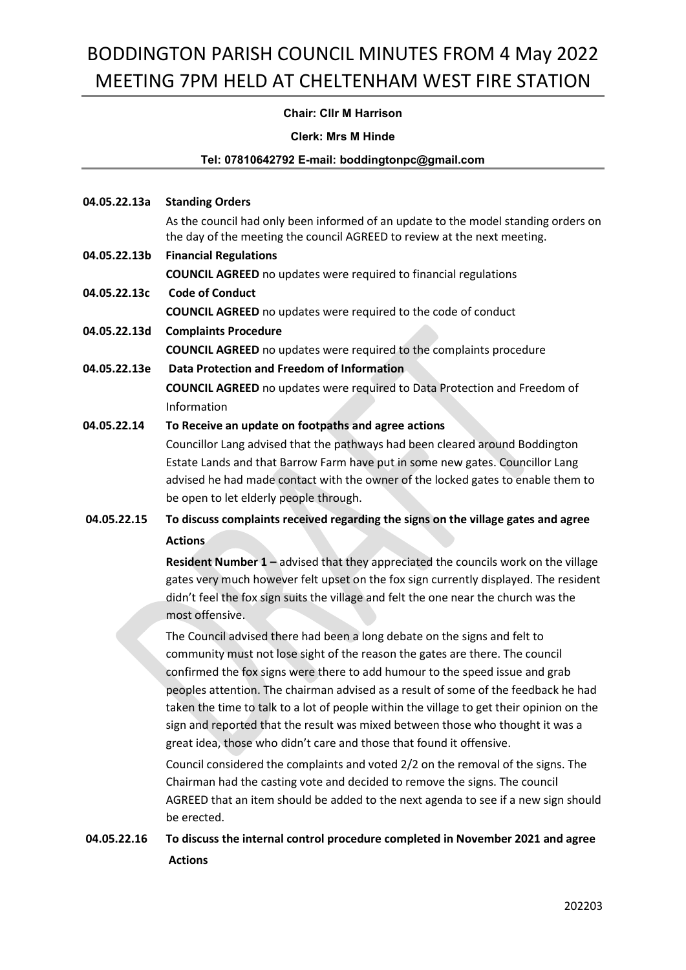## Chair: Cllr M Harrison

#### Clerk: Mrs M Hinde

#### Tel: 07810642792 E-mail: boddingtonpc@gmail.com

04.05.22.13a Standing Orders

As the council had only been informed of an update to the model standing orders on the day of the meeting the council AGREED to review at the next meeting.

- 04.05.22.13b Financial Regulations COUNCIL AGREED no updates were required to financial regulations
- 04.05.22.13c Code of Conduct COUNCIL AGREED no updates were required to the code of conduct
- 04.05.22.13d Complaints Procedure COUNCIL AGREED no updates were required to the complaints procedure
- 04.05.22.13e Data Protection and Freedom of Information COUNCIL AGREED no updates were required to Data Protection and Freedom of Information
- 04.05.22.14 To Receive an update on footpaths and agree actions

Councillor Lang advised that the pathways had been cleared around Boddington Estate Lands and that Barrow Farm have put in some new gates. Councillor Lang advised he had made contact with the owner of the locked gates to enable them to be open to let elderly people through.

 04.05.22.15 To discuss complaints received regarding the signs on the village gates and agree Actions

> Resident Number 1 – advised that they appreciated the councils work on the village gates very much however felt upset on the fox sign currently displayed. The resident didn't feel the fox sign suits the village and felt the one near the church was the most offensive.

> The Council advised there had been a long debate on the signs and felt to community must not lose sight of the reason the gates are there. The council confirmed the fox signs were there to add humour to the speed issue and grab peoples attention. The chairman advised as a result of some of the feedback he had taken the time to talk to a lot of people within the village to get their opinion on the sign and reported that the result was mixed between those who thought it was a great idea, those who didn't care and those that found it offensive.

> Council considered the complaints and voted 2/2 on the removal of the signs. The Chairman had the casting vote and decided to remove the signs. The council AGREED that an item should be added to the next agenda to see if a new sign should be erected.

## 04.05.22.16 To discuss the internal control procedure completed in November 2021 and agree Actions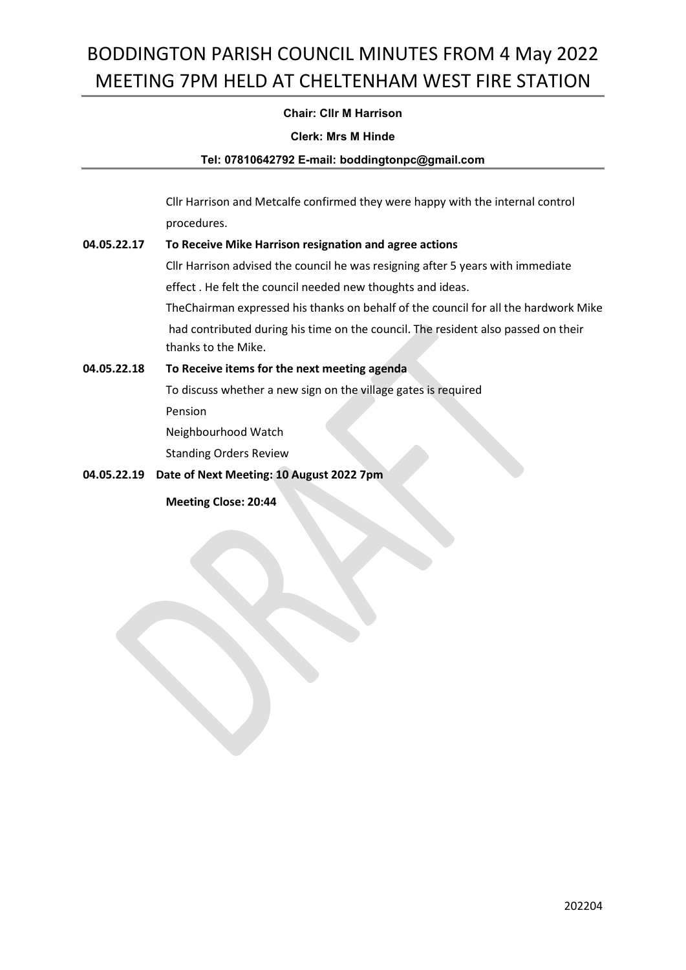## Chair: Cllr M Harrison

#### Clerk: Mrs M Hinde

#### Tel: 07810642792 E-mail: boddingtonpc@gmail.com

 Cllr Harrison and Metcalfe confirmed they were happy with the internal control procedures.

## 04.05.22.17 To Receive Mike Harrison resignation and agree actions

 Cllr Harrison advised the council he was resigning after 5 years with immediate effect . He felt the council needed new thoughts and ideas.

TheChairman expressed his thanks on behalf of the council for all the hardwork Mike had contributed during his time on the council. The resident also passed on their thanks to the Mike.

## 04.05.22.18 To Receive items for the next meeting agenda

 To discuss whether a new sign on the village gates is required Pension

Neighbourhood Watch

Standing Orders Review

## 04.05.22.19 Date of Next Meeting: 10 August 2022 7pm

Meeting Close: 20:44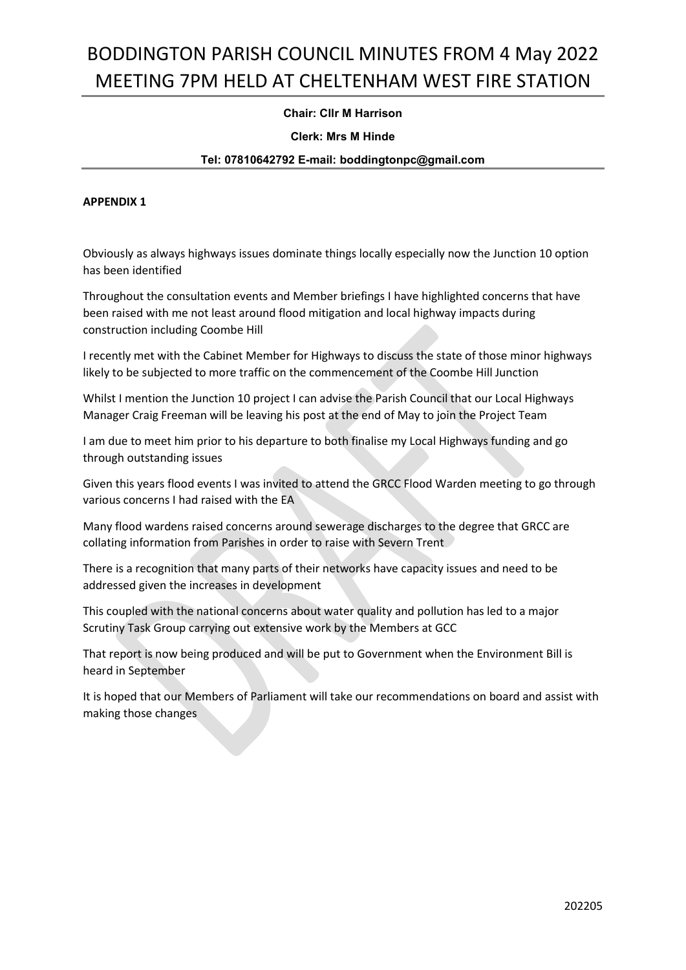## Chair: Cllr M Harrison

#### Clerk: Mrs M Hinde

#### Tel: 07810642792 E-mail: boddingtonpc@gmail.com

#### APPENDIX 1

Obviously as always highways issues dominate things locally especially now the Junction 10 option has been identified

Throughout the consultation events and Member briefings I have highlighted concerns that have been raised with me not least around flood mitigation and local highway impacts during construction including Coombe Hill

I recently met with the Cabinet Member for Highways to discuss the state of those minor highways likely to be subjected to more traffic on the commencement of the Coombe Hill Junction

Whilst I mention the Junction 10 project I can advise the Parish Council that our Local Highways Manager Craig Freeman will be leaving his post at the end of May to join the Project Team

I am due to meet him prior to his departure to both finalise my Local Highways funding and go through outstanding issues

Given this years flood events I was invited to attend the GRCC Flood Warden meeting to go through various concerns I had raised with the EA

Many flood wardens raised concerns around sewerage discharges to the degree that GRCC are collating information from Parishes in order to raise with Severn Trent

There is a recognition that many parts of their networks have capacity issues and need to be addressed given the increases in development

This coupled with the national concerns about water quality and pollution has led to a major Scrutiny Task Group carrying out extensive work by the Members at GCC

That report is now being produced and will be put to Government when the Environment Bill is heard in September

It is hoped that our Members of Parliament will take our recommendations on board and assist with making those changes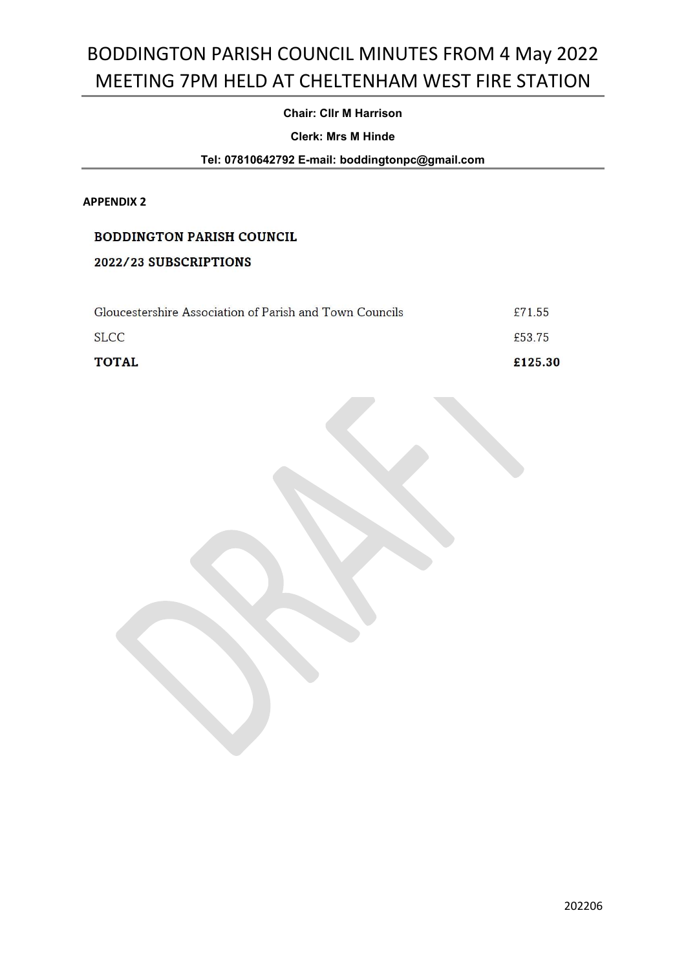## Chair: Cllr M Harrison

#### Clerk: Mrs M Hinde

Tel: 07810642792 E-mail: boddingtonpc@gmail.com

#### APPENDIX 2

### **BODDINGTON PARISH COUNCIL**

## 2022/23 SUBSCRIPTIONS

| <b>TOTAL</b>                                            | £125.30 |
|---------------------------------------------------------|---------|
| SLCC.                                                   | £53.75  |
| Gloucestershire Association of Parish and Town Councils | £71.55  |